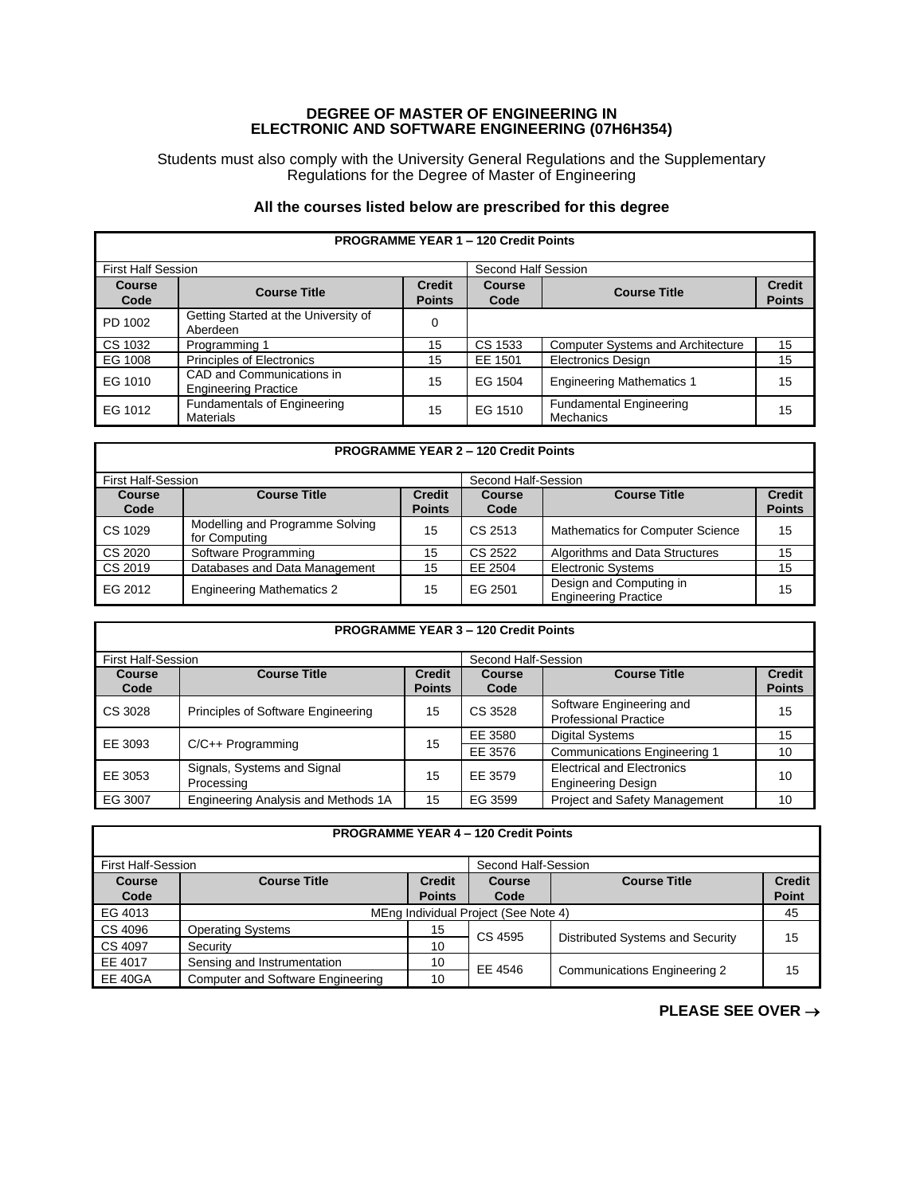## **DEGREE OF MASTER OF ENGINEERING IN ELECTRONIC AND SOFTWARE ENGINEERING (07H6H354)**

Students must also comply with the University General Regulations and the Supplementary Regulations for the Degree of Master of Engineering

## **All the courses listed below are prescribed for this degree**

| <b>PROGRAMME YEAR 1 - 120 Credit Points</b> |                                                          |                                |                       |                                             |                                |  |  |
|---------------------------------------------|----------------------------------------------------------|--------------------------------|-----------------------|---------------------------------------------|--------------------------------|--|--|
| <b>First Half Session</b>                   |                                                          |                                | Second Half Session   |                                             |                                |  |  |
| Course<br>Code                              | <b>Course Title</b>                                      | <b>Credit</b><br><b>Points</b> | <b>Course</b><br>Code | <b>Course Title</b>                         | <b>Credit</b><br><b>Points</b> |  |  |
| PD 1002                                     | Getting Started at the University of<br>Aberdeen         | 0                              |                       |                                             |                                |  |  |
| CS 1032                                     | Programming 1                                            | 15                             | CS 1533               | <b>Computer Systems and Architecture</b>    | 15                             |  |  |
| EG 1008                                     | Principles of Electronics                                | 15                             | EE 1501               | <b>Electronics Design</b>                   | 15                             |  |  |
| EG 1010                                     | CAD and Communications in<br><b>Engineering Practice</b> | 15                             | EG 1504               | <b>Engineering Mathematics 1</b>            | 15                             |  |  |
| EG 1012                                     | Fundamentals of Engineering<br><b>Materials</b>          | 15                             | EG 1510               | <b>Fundamental Engineering</b><br>Mechanics | 15                             |  |  |

## **PROGRAMME YEAR 2 – 120 Credit Points** First Half-Session Second Half-Session<br> **Course Course Title** Credit Course I **Course Code Course Title Points Course Code Course Title Credit Points** CS 1029 Modelling and Programme Solving<br>for Computing Modelling and Programme Solving<br>
for Computing<br>
Software Programming<br>
15 CS 2522 Algorithms and Data Structures<br>
15 CS 2020 Software Programming 15 CS 2522 Algorithms and Data Structures CS 2019 Databases and Data Management 15 EE 2504 Electronic Systems Databases and Data Management 15 EE 2504 Electronic Systems 15 EG 2012 | Engineering Mathematics 2 15 | EG 2501 | Design and Computing in | 15 | 15

| <b>PROGRAMME YEAR 3 - 120 Credit Points</b> |                                           |                                |                     |                                                                |                                |  |  |
|---------------------------------------------|-------------------------------------------|--------------------------------|---------------------|----------------------------------------------------------------|--------------------------------|--|--|
| <b>First Half-Session</b>                   |                                           |                                | Second Half-Session |                                                                |                                |  |  |
| Course<br>Code                              | <b>Course Title</b>                       | <b>Credit</b><br><b>Points</b> | Course<br>Code      | <b>Course Title</b>                                            | <b>Credit</b><br><b>Points</b> |  |  |
| CS 3028                                     | Principles of Software Engineering        | 15                             | CS 3528             | Software Engineering and<br><b>Professional Practice</b>       | 15                             |  |  |
| EE 3093                                     | $C/C++$ Programming                       | 15                             | EE 3580             | Digital Systems                                                | 15                             |  |  |
|                                             |                                           |                                | EE 3576             | <b>Communications Engineering 1</b>                            | 10                             |  |  |
| EE 3053                                     | Signals, Systems and Signal<br>Processing | 15                             | EE 3579             | <b>Electrical and Electronics</b><br><b>Engineering Design</b> | 10                             |  |  |
| EG 3007                                     | Engineering Analysis and Methods 1A       | 15                             | EG 3599             | <b>Project and Safety Management</b>                           | 10                             |  |  |

| <b>PROGRAMME YEAR 4 - 120 Credit Points</b> |  |
|---------------------------------------------|--|
|---------------------------------------------|--|

| <b>First Half-Session</b> |                                          |               | Second Half-Session |                                     |               |
|---------------------------|------------------------------------------|---------------|---------------------|-------------------------------------|---------------|
| <b>Course</b>             | <b>Course Title</b>                      | <b>Credit</b> | Course              | <b>Course Title</b>                 | <b>Credit</b> |
| Code                      |                                          | <b>Points</b> | Code                |                                     | Point         |
| EG 4013                   | MEng Individual Project (See Note 4)     |               |                     |                                     | 45            |
| CS 4096                   | <b>Operating Systems</b>                 | 15            | CS 4595             |                                     |               |
| CS 4097                   | Security                                 | 10            |                     | Distributed Systems and Security    | 15            |
| EE 4017                   | Sensing and Instrumentation              | 10            | EE 4546             | <b>Communications Engineering 2</b> | 15            |
| <b>EE 40GA</b>            | <b>Computer and Software Engineering</b> | 10            |                     |                                     |               |

**PLEASE SEE OVER** →